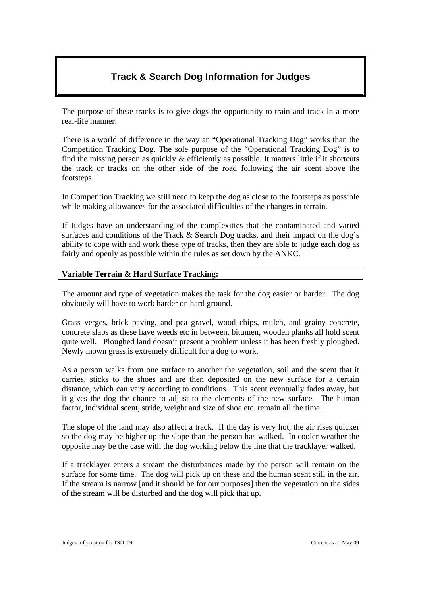# **Track & Search Dog Information for Judges**

The purpose of these tracks is to give dogs the opportunity to train and track in a more real-life manner.

There is a world of difference in the way an "Operational Tracking Dog" works than the Competition Tracking Dog. The sole purpose of the "Operational Tracking Dog" is to find the missing person as quickly & efficiently as possible. It matters little if it shortcuts the track or tracks on the other side of the road following the air scent above the footsteps.

In Competition Tracking we still need to keep the dog as close to the footsteps as possible while making allowances for the associated difficulties of the changes in terrain.

If Judges have an understanding of the complexities that the contaminated and varied surfaces and conditions of the Track & Search Dog tracks, and their impact on the dog's ability to cope with and work these type of tracks, then they are able to judge each dog as fairly and openly as possible within the rules as set down by the ANKC.

# **Variable Terrain & Hard Surface Tracking:**

The amount and type of vegetation makes the task for the dog easier or harder. The dog obviously will have to work harder on hard ground.

Grass verges, brick paving, and pea gravel, wood chips, mulch, and grainy concrete, concrete slabs as these have weeds etc in between, bitumen, wooden planks all hold scent quite well. Ploughed land doesn't present a problem unless it has been freshly ploughed. Newly mown grass is extremely difficult for a dog to work.

As a person walks from one surface to another the vegetation, soil and the scent that it carries, sticks to the shoes and are then deposited on the new surface for a certain distance, which can vary according to conditions. This scent eventually fades away, but it gives the dog the chance to adjust to the elements of the new surface. The human factor, individual scent, stride, weight and size of shoe etc. remain all the time.

The slope of the land may also affect a track. If the day is very hot, the air rises quicker so the dog may be higher up the slope than the person has walked. In cooler weather the opposite may be the case with the dog working below the line that the tracklayer walked.

If a tracklayer enters a stream the disturbances made by the person will remain on the surface for some time. The dog will pick up on these and the human scent still in the air. If the stream is narrow [and it should be for our purposes] then the vegetation on the sides of the stream will be disturbed and the dog will pick that up.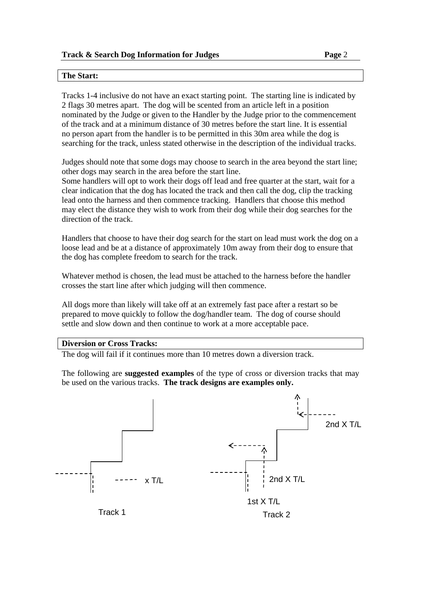### **The Start:**

Tracks 1-4 inclusive do not have an exact starting point. The starting line is indicated by 2 flags 30 metres apart. The dog will be scented from an article left in a position nominated by the Judge or given to the Handler by the Judge prior to the commencement of the track and at a minimum distance of 30 metres before the start line. It is essential no person apart from the handler is to be permitted in this 30m area while the dog is searching for the track, unless stated otherwise in the description of the individual tracks.

Judges should note that some dogs may choose to search in the area beyond the start line; other dogs may search in the area before the start line.

Some handlers will opt to work their dogs off lead and free quarter at the start, wait for a clear indication that the dog has located the track and then call the dog, clip the tracking lead onto the harness and then commence tracking. Handlers that choose this method may elect the distance they wish to work from their dog while their dog searches for the direction of the track.

Handlers that choose to have their dog search for the start on lead must work the dog on a loose lead and be at a distance of approximately 10m away from their dog to ensure that the dog has complete freedom to search for the track.

Whatever method is chosen, the lead must be attached to the harness before the handler crosses the start line after which judging will then commence.

All dogs more than likely will take off at an extremely fast pace after a restart so be prepared to move quickly to follow the dog/handler team. The dog of course should settle and slow down and then continue to work at a more acceptable pace.

### **Diversion or Cross Tracks:**

The dog will fail if it continues more than 10 metres down a diversion track.

The following are **suggested examples** of the type of cross or diversion tracks that may be used on the various tracks. **The track designs are examples only.** 

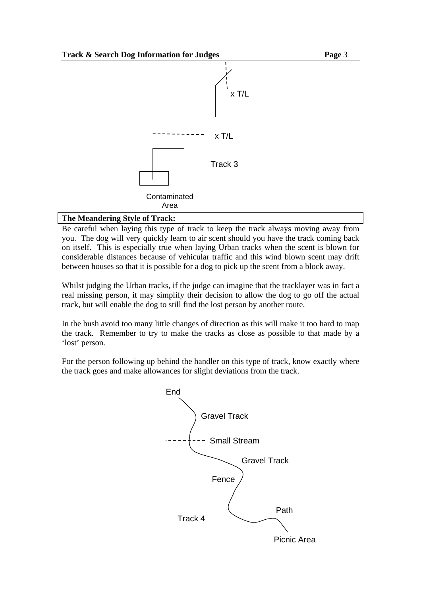

# **The Meandering Style of Track:**

Be careful when laying this type of track to keep the track always moving away from you. The dog will very quickly learn to air scent should you have the track coming back on itself. This is especially true when laying Urban tracks when the scent is blown for considerable distances because of vehicular traffic and this wind blown scent may drift between houses so that it is possible for a dog to pick up the scent from a block away.

Whilst judging the Urban tracks, if the judge can imagine that the tracklayer was in fact a real missing person, it may simplify their decision to allow the dog to go off the actual track, but will enable the dog to still find the lost person by another route.

In the bush avoid too many little changes of direction as this will make it too hard to map the track. Remember to try to make the tracks as close as possible to that made by a 'lost' person.

For the person following up behind the handler on this type of track, know exactly where the track goes and make allowances for slight deviations from the track.

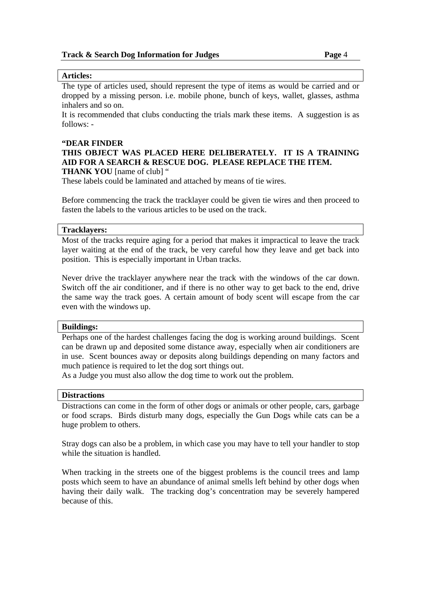### **Articles:**

The type of articles used, should represent the type of items as would be carried and or dropped by a missing person. i.e. mobile phone, bunch of keys, wallet, glasses, asthma inhalers and so on.

It is recommended that clubs conducting the trials mark these items. A suggestion is as follows: -

### **"DEAR FINDER**

# **THIS OBJECT WAS PLACED HERE DELIBERATELY. IT IS A TRAINING AID FOR A SEARCH & RESCUE DOG. PLEASE REPLACE THE ITEM.**

**THANK YOU** [name of club] "

These labels could be laminated and attached by means of tie wires.

Before commencing the track the tracklayer could be given tie wires and then proceed to fasten the labels to the various articles to be used on the track.

### **Tracklayers:**

Most of the tracks require aging for a period that makes it impractical to leave the track layer waiting at the end of the track, be very careful how they leave and get back into position. This is especially important in Urban tracks.

Never drive the tracklayer anywhere near the track with the windows of the car down. Switch off the air conditioner, and if there is no other way to get back to the end, drive the same way the track goes. A certain amount of body scent will escape from the car even with the windows up.

### **Buildings:**

Perhaps one of the hardest challenges facing the dog is working around buildings. Scent can be drawn up and deposited some distance away, especially when air conditioners are in use. Scent bounces away or deposits along buildings depending on many factors and much patience is required to let the dog sort things out.

As a Judge you must also allow the dog time to work out the problem.

### **Distractions**

Distractions can come in the form of other dogs or animals or other people, cars, garbage or food scraps. Birds disturb many dogs, especially the Gun Dogs while cats can be a huge problem to others.

Stray dogs can also be a problem, in which case you may have to tell your handler to stop while the situation is handled.

When tracking in the streets one of the biggest problems is the council trees and lamp posts which seem to have an abundance of animal smells left behind by other dogs when having their daily walk. The tracking dog's concentration may be severely hampered because of this.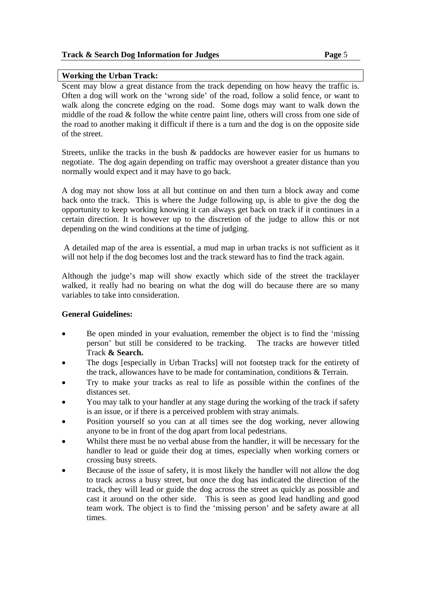### **Working the Urban Track:**

Scent may blow a great distance from the track depending on how heavy the traffic is. Often a dog will work on the 'wrong side' of the road, follow a solid fence, or want to walk along the concrete edging on the road. Some dogs may want to walk down the middle of the road & follow the white centre paint line, others will cross from one side of the road to another making it difficult if there is a turn and the dog is on the opposite side of the street.

Streets, unlike the tracks in the bush & paddocks are however easier for us humans to negotiate. The dog again depending on traffic may overshoot a greater distance than you normally would expect and it may have to go back.

A dog may not show loss at all but continue on and then turn a block away and come back onto the track. This is where the Judge following up, is able to give the dog the opportunity to keep working knowing it can always get back on track if it continues in a certain direction. It is however up to the discretion of the judge to allow this or not depending on the wind conditions at the time of judging.

 A detailed map of the area is essential, a mud map in urban tracks is not sufficient as it will not help if the dog becomes lost and the track steward has to find the track again.

Although the judge's map will show exactly which side of the street the tracklayer walked, it really had no bearing on what the dog will do because there are so many variables to take into consideration.

# **General Guidelines:**

- Be open minded in your evaluation, remember the object is to find the 'missing' person' but still be considered to be tracking. The tracks are however titled Track **& Search.**
- The dogs [especially in Urban Tracks] will not footstep track for the entirety of the track, allowances have to be made for contamination, conditions & Terrain.
- Try to make your tracks as real to life as possible within the confines of the distances set.
- You may talk to your handler at any stage during the working of the track if safety is an issue, or if there is a perceived problem with stray animals.
- Position yourself so you can at all times see the dog working, never allowing anyone to be in front of the dog apart from local pedestrians.
- Whilst there must be no verbal abuse from the handler, it will be necessary for the handler to lead or guide their dog at times, especially when working corners or crossing busy streets.
- Because of the issue of safety, it is most likely the handler will not allow the dog to track across a busy street, but once the dog has indicated the direction of the track, they will lead or guide the dog across the street as quickly as possible and cast it around on the other side. This is seen as good lead handling and good team work. The object is to find the 'missing person' and be safety aware at all times.